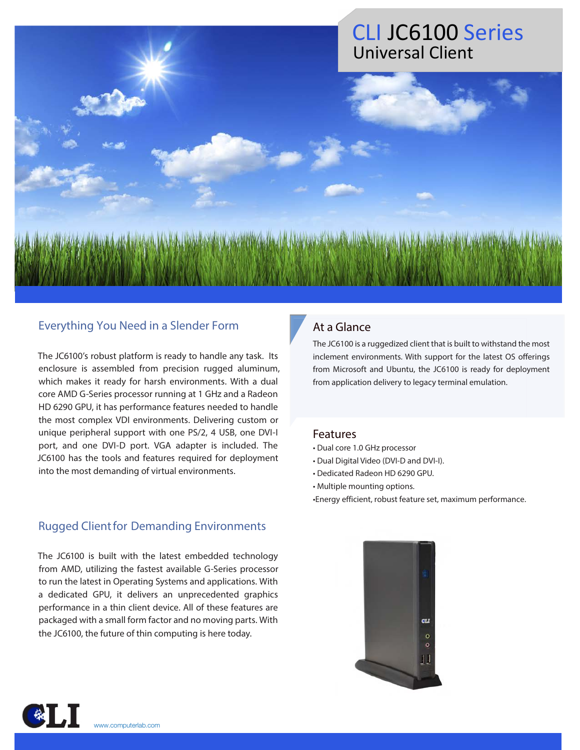# CLI JC6100 Series Universal Client

#### Everything You Need in a Slender Form

The JC6100's robust platform is ready to handle any task. Its enclosure is assembled from precision rugged aluminum, which makes it ready for harsh environments. With a dual core AMD G-Series processor running at 1 GHz and a Radeon HD 6290 GPU, it has performance features needed to handle the most complex VDI environments. Delivering custom or unique peripheral support with one PS/2, 4 USB, one DVI-I port, and one DVI-D port. VGA adapter is included. The JC6100 has the tools and features required for deployment into the most demanding of virtual environments.

#### Rugged Client for Demanding Environments

The JC6100 is built with the latest embedded technology from AMD, utilizing the fastest available G-Series processor to run the latest in Operating Systems and applications. With a dedicated GPU, it delivers an unprecedented graphics performance in a thin client device. All of these features are packaged with a small form factor and no moving parts. With the JC6100, the future of thin computing is here today.

### At a Glance

The JC6100 is a ruggedized client that is built to withstand the most inclement environments. With support for the latest OS offerings from Microsoft and Ubuntu, the JC6100 is ready for deployment from application delivery to legacy terminal emulation.

#### Features

- Dual core 1.0 GHz processor
- Dual Digital Video (DVI-D and DVI-I).
- Dedicated Radeon HD 6290 GPU.
- Multiple mounting options.
- Energy efficient, robust feature set, maximum performance.